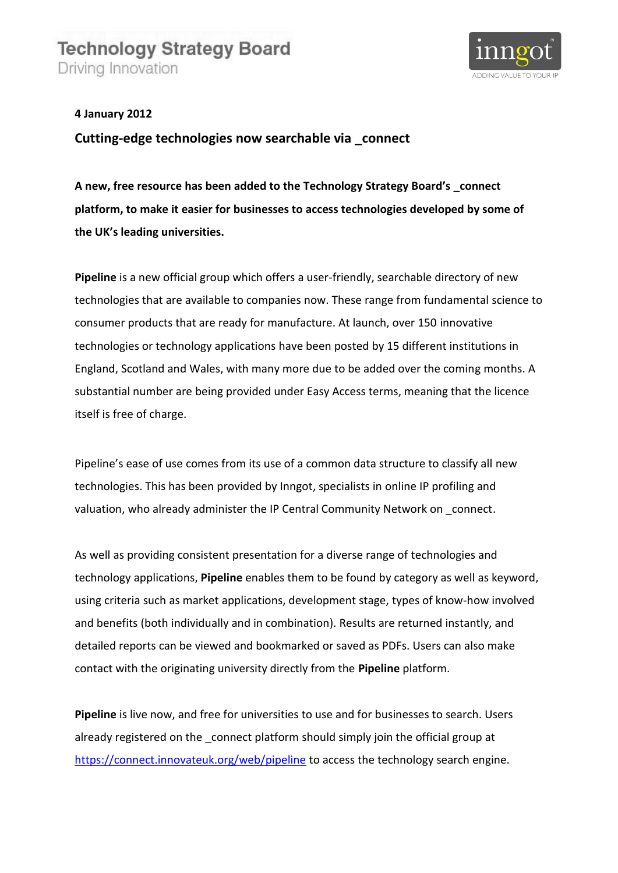

**4 January 2012**

**Cutting-edge technologies now searchable via \_connect**

**A new, free resource has been added to the Technology Strategy Board's \_connect platform, to make it easier for businesses to access technologies developed by some of the UK's leading universities.**

**Pipeline** is a new official group which offers a user-friendly, searchable directory of new technologies that are available to companies now. These range from fundamental science to consumer products that are ready for manufacture. At launch, over 150 innovative technologies or technology applications have been posted by 15 different institutions in England, Scotland and Wales, with many more due to be added over the coming months. A substantial number are being provided under Easy Access terms, meaning that the licence itself is free of charge.

Pipeline's ease of use comes from its use of a common data structure to classify all new technologies. This has been provided by Inngot, specialists in online IP profiling and valuation, who already administer the IP Central Community Network on connect.

As well as providing consistent presentation for a diverse range of technologies and technology applications, **Pipeline** enables them to be found by category as well as keyword, using criteria such as market applications, development stage, types of know-how involved and benefits (both individually and in combination). Results are returned instantly, and detailed reports can be viewed and bookmarked or saved as PDFs. Users can also make contact with the originating university directly from the **Pipeline** platform.

**Pipeline** is live now, and free for universities to use and for businesses to search. Users already registered on the connect platform should simply join the official group at <https://connect.innovateuk.org/web/pipeline> to access the technology search engine.